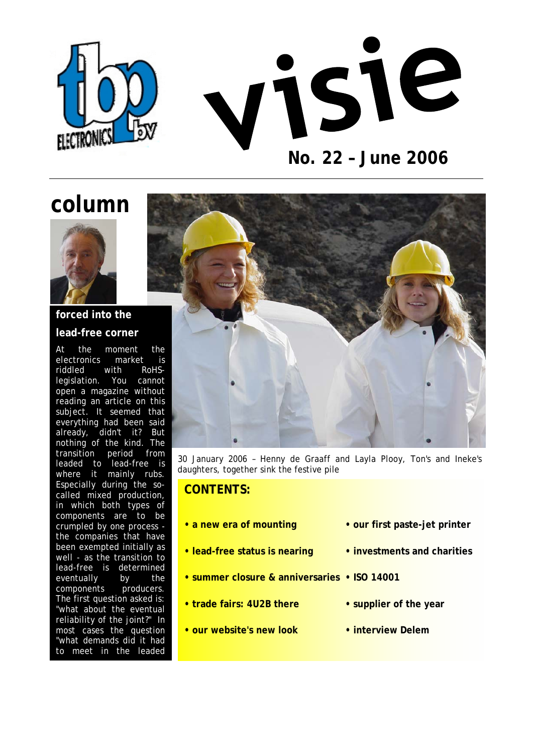



# **column**



### **forced into the lead-free corner**

reading an article on this where it mainly rubs. At the moment the electronics market is<br>riddled with RoHSriddled with RoHSlegislation. You cannot open a magazine without subject. It seemed that everything had been said already, didn't it? But nothing of the kind. The transition period from leaded to lead-free is Especially during the socalled mixed production, in which both types of components are to be crumpled by one process the companies that have been exempted initially as well - as the transition to lead-free is determined eventually by the components producers. The first question asked is: "what about the eventual reliability of the joint?" In most cases the question "what demands did it had to meet in the leaded



30 January 2006 – Henny de Graaff and Layla Plooy, Ton's and Ineke's daughters, together sink the festive pile

### **CONTENTS:**

- 
- **lead-free status is nearing investments and charities**
- **summer closure & anniversaries ISO 14001**
- trade fairs: 4U2B there  **supplier of the year**
- **our website's new look interview Delem**
- a new era of mounting  **our first paste-jet printer** 
	-
	- -
		-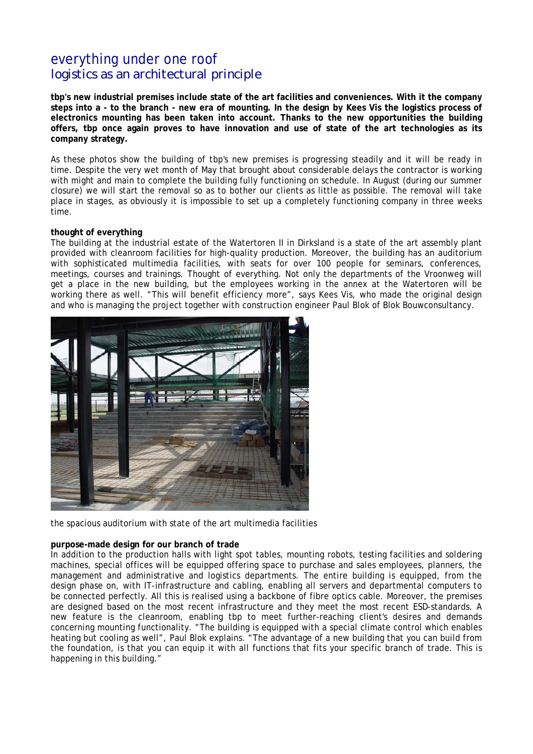# everything under one roof *logistics as an architectural principle*

**tbp's new industrial premises include state of the art facilities and conveniences. With it the company steps into a - to the branch - new era of mounting. In the design by Kees Vis the logistics process of electronics mounting has been taken into account. Thanks to the new opportunities the building offers, tbp once again proves to have innovation and use of state of the art technologies as its company strategy.** 

As these photos show the building of tbp's new premises is progressing steadily and it will be ready in time. Despite the very wet month of May that brought about considerable delays the contractor is working with might and main to complete the building fully functioning on schedule. In August (during our summer closure) we will start the removal so as to bother our clients as little as possible. The removal will take place in stages, as obviously it is impossible to set up a completely functioning company in three weeks time.

### **thought of everything**

The building at the industrial estate of the Watertoren II in Dirksland is a state of the art assembly plant provided with cleanroom facilities for high-quality production. Moreover, the building has an auditorium with sophisticated multimedia facilities, with seats for over 100 people for seminars, conferences, meetings, courses and trainings. Thought of everything. Not only the departments of the Vroonweg will get a place in the new building, but the employees working in the annex at the Watertoren will be working there as well. "This will benefit efficiency more", says Kees Vis, who made the original design and who is managing the project together with construction engineer Paul Blok of Blok Bouwconsultancy.



the spacious auditorium with state of the art multimedia facilities

### **purpose-made design for our branch of trade**

In addition to the production halls with light spot tables, mounting robots, testing facilities and soldering machines, special offices will be equipped offering space to purchase and sales employees, planners, the management and administrative and logistics departments. The entire building is equipped, from the design phase on, with IT-infrastructure and cabling, enabling all servers and departmental computers to be connected perfectly. All this is realised using a backbone of fibre optics cable. Moreover, the premises are designed based on the most recent infrastructure and they meet the most recent ESD-standards. A new feature is the cleanroom, enabling tbp to meet further-reaching client's desires and demands concerning mounting functionality. "The building is equipped with a special climate control which enables heating but cooling as well", Paul Blok explains. "The advantage of a new building that you can build from the foundation, is that you can equip it with all functions that fits your specific branch of trade. This is happening in this building."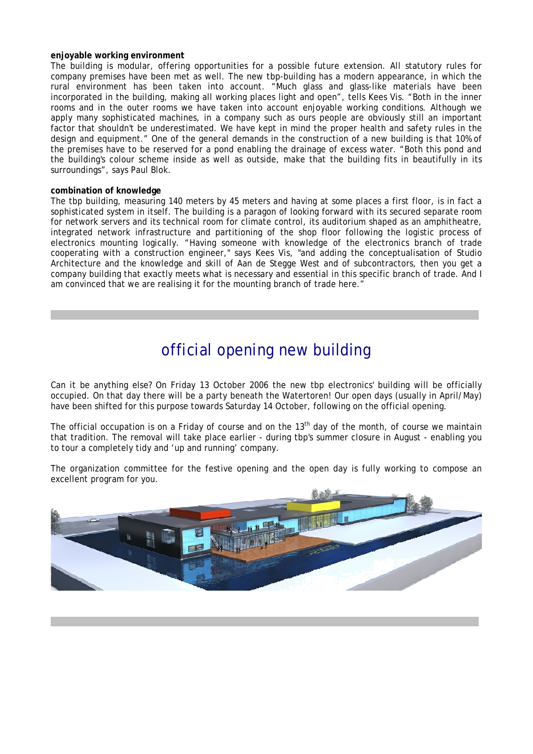### **enjoyable working environment**

The building is modular, offering opportunities for a possible future extension. All statutory rules for company premises have been met as well. The new tbp-building has a modern appearance, in which the rural environment has been taken into account. "Much glass and glass-like materials have been incorporated in the building, making all working places light and open", tells Kees Vis. "Both in the inner rooms and in the outer rooms we have taken into account enjoyable working conditions. Although we apply many sophisticated machines, in a company such as ours people are obviously still an important factor that shouldn't be underestimated. We have kept in mind the proper health and safety rules in the design and equipment." One of the general demands in the construction of a new building is that 10% of the premises have to be reserved for a pond enabling the drainage of excess water. "Both this pond and the building's colour scheme inside as well as outside, make that the building fits in beautifully in its surroundings", says Paul Blok.

#### **combination of knowledge**

The tbp building, measuring 140 meters by 45 meters and having at some places a first floor, is in fact a sophisticated system in itself. The building is a paragon of looking forward with its secured separate room for network servers and its technical room for climate control, its auditorium shaped as an amphitheatre, integrated network infrastructure and partitioning of the shop floor following the logistic process of electronics mounting logically. "Having someone with knowledge of the electronics branch of trade cooperating with a construction engineer," says Kees Vis, "and adding the conceptualisation of Studio Architecture and the knowledge and skill of Aan de Stegge West and of subcontractors, then you get a company building that exactly meets what is necessary and essential in this specific branch of trade. And I am convinced that we are realising it for the mounting branch of trade here."

# official opening new building

 $--\frac{1}{2}$ 

Can it be anything else? On Friday 13 October 2006 the new tbp electronics' building will be officially occupied. On that day there will be a party beneath the Watertoren! Our open days (usually in April/May) have been shifted for this purpose towards Saturday 14 October, following on the official opening.

The official occupation is on a Friday of course and on the  $13<sup>th</sup>$  day of the month, of course we maintain that tradition. The removal will take place earlier - during tbp's summer closure in August - enabling you to tour a completely tidy and 'up and running' company.

The organization committee for the festive opening and the open day is fully working to compose an excellent program for you.



 $--\frac{1}{2}$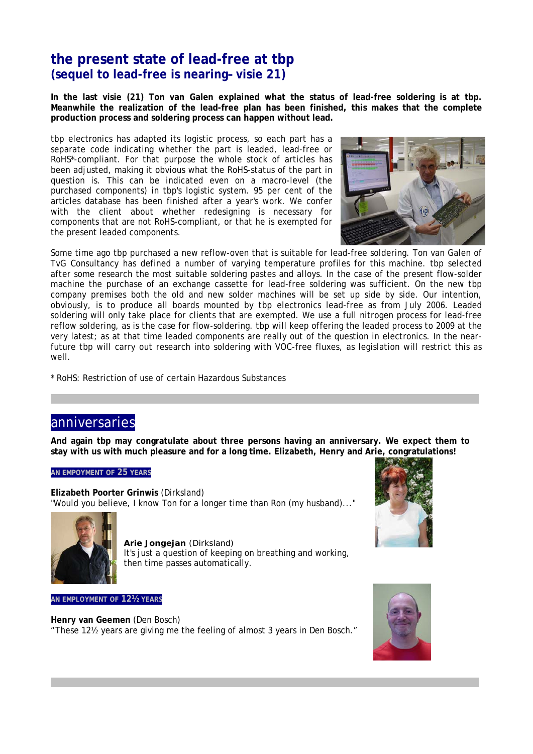# **the present state of lead-free at tbp (sequel to lead-free is nearing– visie 21)**

**In the last visie (21) Ton van Galen explained what the status of lead-free soldering is at tbp. Meanwhile the realization of the lead-free plan has been finished, this makes that the complete production process and soldering process can happen without lead.** 

tbp electronics has adapted its logistic process, so each part has a separate code indicating whether the part is leaded, lead-free or RoHS\*-compliant. For that purpose the whole stock of articles has been adjusted, making it obvious what the RoHS-status of the part in question is. This can be indicated even on a macro-level (the purchased components) in tbp's logistic system. 95 per cent of the articles database has been finished after a year's work. We confer with the client about whether redesigning is necessary for components that are not RoHS-compliant, or that he is exempted for the present leaded components.



Some time ago tbp purchased a new reflow-oven that is suitable for lead-free soldering. Ton van Galen of TvG Consultancy has defined a number of varying temperature profiles for this machine. tbp selected after some research the most suitable soldering pastes and alloys. In the case of the present flow-solder machine the purchase of an exchange cassette for lead-free soldering was sufficient. On the new tbp company premises both the old and new solder machines will be set up side by side. Our intention, obviously, is to produce all boards mounted by tbp electronics lead-free as from July 2006. Leaded soldering will only take place for clients that are exempted. We use a full nitrogen process for lead-free reflow soldering, as is the case for flow-soldering. tbp will keep offering the leaded process to 2009 at the very latest; as at that time leaded components are really out of the question in electronics. In the nearfuture tbp will carry out research into soldering with VOC-free fluxes, as legislation will restrict this as well.

\* RoHS: Restriction of use of certain Hazardous Substances

### anniversaries

**And again tbp may congratulate about three persons having an anniversary. We expect them to stay with us with much pleasure and for a long time. Elizabeth, Henry and Arie, congratulations!** 

 $--\frac{1}{2}$ 

 $--\frac{1}{2}$ 

### **AN EMPOYMENT OF 25 YEARS**

**Elizabeth Poorter Grinwis** (Dirksland) "Would you believe, I know Ton for a longer time than Ron (my husband)..."



**Arie Jongejan** (Dirksland) It's just a question of keeping on breathing and working, then time passes automatically.

**AN EMPLOYMENT OF 12½ YEARS**

**Henry van Geemen** (Den Bosch) "These 12½ years are giving me the feeling of almost 3 years in Den Bosch."



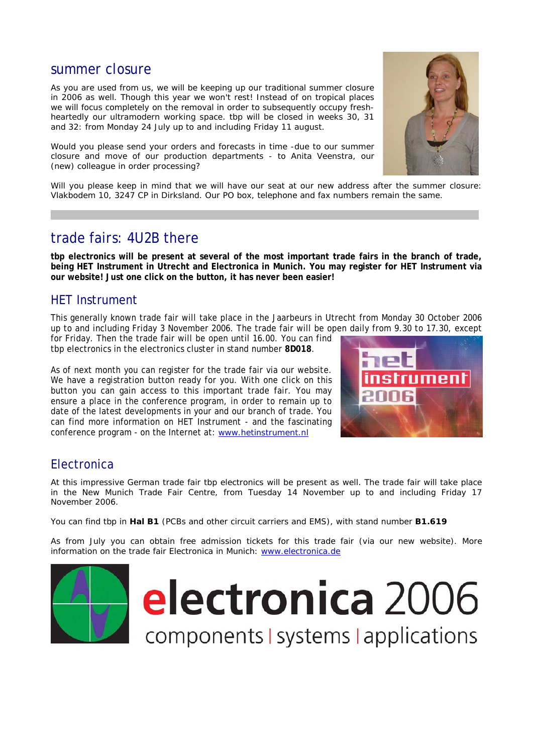### summer closure

As you are used from us, we will be keeping up our traditional summer closure in 2006 as well. Though this year we won't rest! Instead of on tropical places we will focus completely on the removal in order to subsequently occupy freshheartedly our ultramodern working space. tbp will be closed in weeks 30, 31 and 32: from Monday 24 July up to and including Friday 11 august.

Would you please send your orders and forecasts in time -due to our summer closure and move of our production departments - to Anita Veenstra, our (new) colleague in order processing?



Will you please keep in mind that we will have our seat at our new address after the summer closure: Vlakbodem 10, 3247 CP in Dirksland. Our PO box, telephone and fax numbers remain the same.

 $--\frac{1}{2}$ 

### trade fairs: 4U2B there

**tbp electronics will be present at several of the most important trade fairs in the branch of trade, being HET Instrument in Utrecht and Electronica in Munich. You may register for HET Instrument via our website! Just one click on the button, it has never been easier!** 

### HET Instrument

This generally known trade fair will take place in the Jaarbeurs in Utrecht from Monday 30 October 2006 up to and including Friday 3 November 2006. The trade fair will be open daily from 9.30 to 17.30, except for Friday. Then the trade fair will be open until 16.00. You can find

tbp electronics in the electronics cluster in stand number **8D018**.

As of next month you can register for the trade fair via our website. We have a registration button ready for you. With one click on this button you can gain access to this important trade fair. You may ensure a place in the conference program, in order to remain up to date of the latest developments in your and our branch of trade. You can find more information on HET Instrument - and the fascinating conference program - on the Internet at: [www.hetinstrument.nl](http://www.hetinstrument.nl/)



### **Electronica**

At this impressive German trade fair tbp electronics will be present as well. The trade fair will take place in the New Munich Trade Fair Centre, from Tuesday 14 November up to and including Friday 17 November 2006.

You can find tbp in **Hal B1** (PCBs and other circuit carriers and EMS), with stand number **B1.619**

As from July you can obtain free admission tickets for this trade fair (via our new website). More information on the trade fair Electronica in Munich: [www.electronica.de](http://www.electronica.de/)

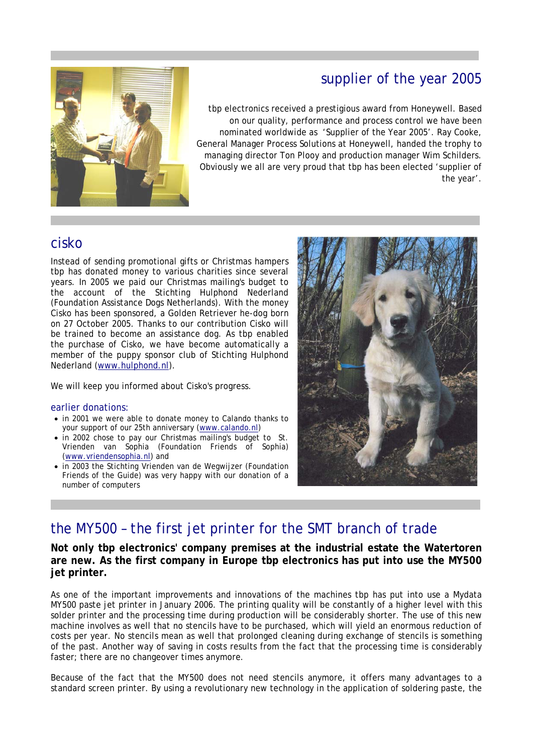# supplier of the year 2005



tbp electronics received a prestigious award from Honeywell. Based on our quality, performance and process control we have been nominated worldwide as 'Supplier of the Year 2005'. Ray Cooke, General Manager Process Solutions at Honeywell, handed the trophy to managing director Ton Plooy and production manager Wim Schilders. Obviously we all are very proud that tbp has been elected 'supplier of the year'.

### cisko

Instead of sending promotional gifts or Christmas hampers tbp has donated money to various charities since several years. In 2005 we paid our Christmas mailing's budget to the account of the Stichting Hulphond Nederland (Foundation Assistance Dogs Netherlands). With the money Cisko has been sponsored, a Golden Retriever he-dog born on 27 October 2005. Thanks to our contribution Cisko will be trained to become an assistance dog. As tbp enabled the purchase of Cisko, we have become automatically a member of the puppy sponsor club of Stichting Hulphond Nederland [\(www.hulphond.nl\)](http://www.hulphond.nl/).

We will keep you informed about Cisko's progress.

### earlier donations:

- in 2001 we were able to donate money to Calando thanks to your support of our 25th anniversary [\(www.calando.nl\)](http://www.calando.nl/)
- in 2002 chose to pay our Christmas mailing's budget to St. Vrienden van Sophia (Foundation Friends of Sophia) [\(www.vriendensophia.nl](http://www.vriendensophia.nl/)) and
- in 2003 the Stichting Vrienden van de Wegwijzer (Foundation Friends of the Guide) was very happy with our donation of a number of computers



# the MY500 – the first jet printer for the SMT branch of trade

**Not only tbp electronics' company premises at the industrial estate the Watertoren are new. As the first company in Europe tbp electronics has put into use the MY500 jet printer.** 

------------ --------------------------------------------------------------------------------------

--------------------------------------------------------------------------------- -----------------

As one of the important improvements and innovations of the machines tbp has put into use a Mydata MY500 paste jet printer in January 2006. The printing quality will be constantly of a higher level with this solder printer and the processing time during production will be considerably shorter. The use of this new machine involves as well that no stencils have to be purchased, which will yield an enormous reduction of costs per year. No stencils mean as well that prolonged cleaning during exchange of stencils is something of the past. Another way of saving in costs results from the fact that the processing time is considerably faster; there are no changeover times anymore.

Because of the fact that the MY500 does not need stencils anymore, it offers many advantages to a standard screen printer. By using a revolutionary new technology in the application of soldering paste, the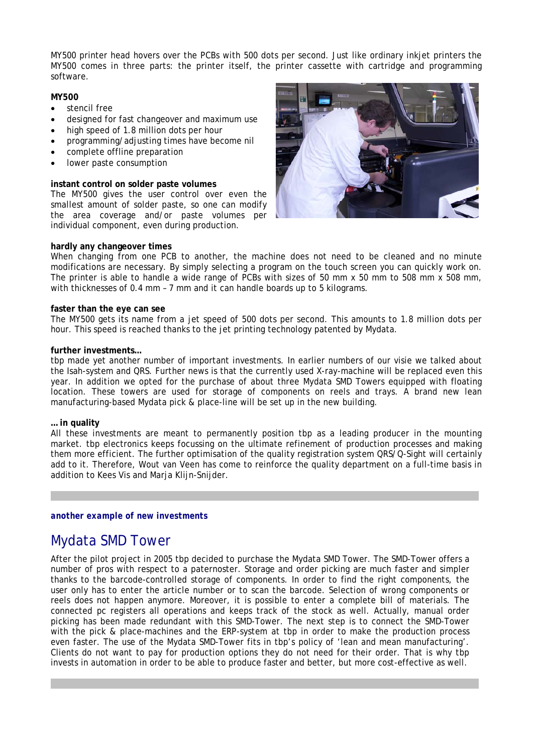MY500 printer head hovers over the PCBs with 500 dots per second. Just like ordinary inkjet printers the MY500 comes in three parts: the printer itself, the printer cassette with cartridge and programming software.

### **MY500**

- stencil free
- designed for fast changeover and maximum use
- high speed of 1.8 million dots per hour
- programming/adjusting times have become nil
- complete offline preparation
- lower paste consumption

### **instant control on solder paste volumes**

The MY500 gives the user control over even the smallest amount of solder paste, so one can modify the area coverage and/or paste volumes per individual component, even during production.



### **hardly any changeover times**

When changing from one PCB to another, the machine does not need to be cleaned and no minute modifications are necessary. By simply selecting a program on the touch screen you can quickly work on. The printer is able to handle a wide range of PCBs with sizes of 50 mm x 50 mm to 508 mm x 508 mm, with thicknesses of 0.4 mm – 7 mm and it can handle boards up to 5 kilograms.

#### **faster than the eye can see**

The MY500 gets its name from a jet speed of 500 dots per second. This amounts to 1.8 million dots per hour. This speed is reached thanks to the jet printing technology patented by Mydata.

#### **further investments…**

tbp made yet another number of important investments. In earlier numbers of our visie we talked about the Isah-system and QRS. Further news is that the currently used X-ray-machine will be replaced even this year. In addition we opted for the purchase of about three Mydata SMD Towers equipped with floating location. These towers are used for storage of components on reels and trays. A brand new lean manufacturing-based Mydata pick & place-line will be set up in the new building.

### **… in quality**

All these investments are meant to permanently position tbp as a leading producer in the mounting market. tbp electronics keeps focussing on the ultimate refinement of production processes and making them more efficient. The further optimisation of the quality registration system QRS/Q-Sight will certainly add to it. Therefore, Wout van Veen has come to reinforce the quality department on a full-time basis in addition to Kees Vis and Marja Klijn-Snijder.

 $--\frac{1}{2}$ 

*another example of new investments* 

# Mydata SMD Tower

After the pilot project in 2005 tbp decided to purchase the Mydata SMD Tower. The SMD-Tower offers a number of pros with respect to a paternoster. Storage and order picking are much faster and simpler thanks to the barcode-controlled storage of components. In order to find the right components, the user only has to enter the article number or to scan the barcode. Selection of wrong components or reels does not happen anymore. Moreover, it is possible to enter a complete bill of materials. The connected pc registers all operations and keeps track of the stock as well. Actually, manual order picking has been made redundant with this SMD-Tower. The next step is to connect the SMD-Tower with the pick & place-machines and the ERP-system at tbp in order to make the production process even faster. The use of the Mydata SMD-Tower fits in tbp's policy of 'lean and mean manufacturing'. Clients do not want to pay for production options they do not need for their order. That is why tbp invests in automation in order to be able to produce faster and better, but more cost-effective as well.

 $--\frac{1}{2}$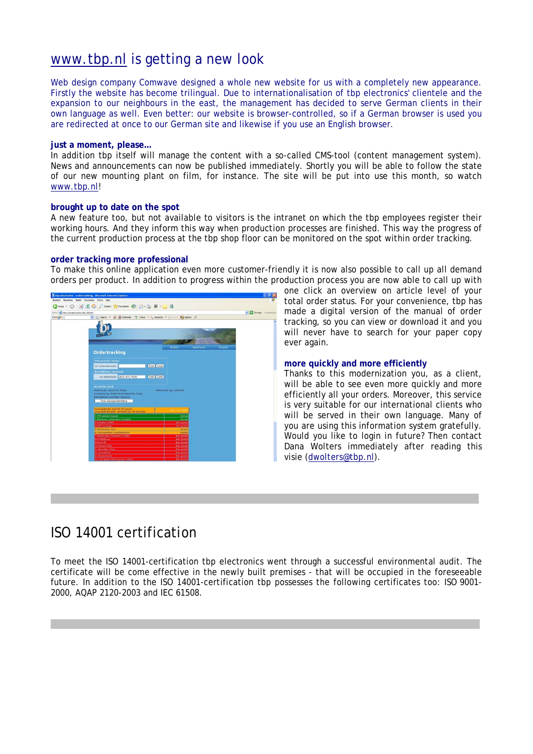# [www.tbp.nl](http://www.tbp.nl/) is getting a new look

Web design company Comwave designed a whole new website for us with a completely new appearance. Firstly the website has become trilingual. Due to internationalisation of tbp electronics' clientele and the expansion to our neighbours in the east, the management has decided to serve German clients in their own language as well. Even better: our website is browser-controlled, so if a German browser is used you are redirected at once to our German site and likewise if you use an English browser.

#### **just a moment, please…**

In addition tbp itself will manage the content with a so-called CMS-tool (content management system). News and announcements can now be published immediately. Shortly you will be able to follow the state of our new mounting plant on film, for instance. The site will be put into use this month, so watch [www.tbp.nl!](http://www.tbp.nl/)

#### **brought up to date on the spot**

A new feature too, but not available to visitors is the intranet on which the tbp employees register their working hours. And they inform this way when production processes are finished. This way the progress of the current production process at the tbp shop floor can be monitored on the spot within order tracking.

### **order tracking more professional**

To make this online application even more customer-friendly it is now also possible to call up all demand orders per product. In addition to progress within the production process you are now able to call up with



one click an overview on article level of your total order status. For your convenience, tbp has made a digital version of the manual of order tracking, so you can view or download it and you will never have to search for your paper copy ever again.

#### **more quickly and more efficiently**

Thanks to this modernization you, as a client, will be able to see even more quickly and more efficiently all your orders. Moreover, this service is very suitable for our international clients who will be served in their own language. Many of you are using this information system gratefully. Would you like to login in future? Then contact Dana Wolters immediately after reading this visie [\(dwolters@tbp.nl](mailto:dwolters@tbp.nl)).

# ISO 14001 certification

To meet the ISO 14001-certification tbp electronics went through a successful environmental audit. The certificate will be come effective in the newly built premises - that will be occupied in the foreseeable future. In addition to the ISO 14001-certification tbp possesses the following certificates too: ISO 9001- 2000, AQAP 2120-2003 and IEC 61508.

------------------------------------------------------- -------------------------------------------

 $--\frac{1}{2}$